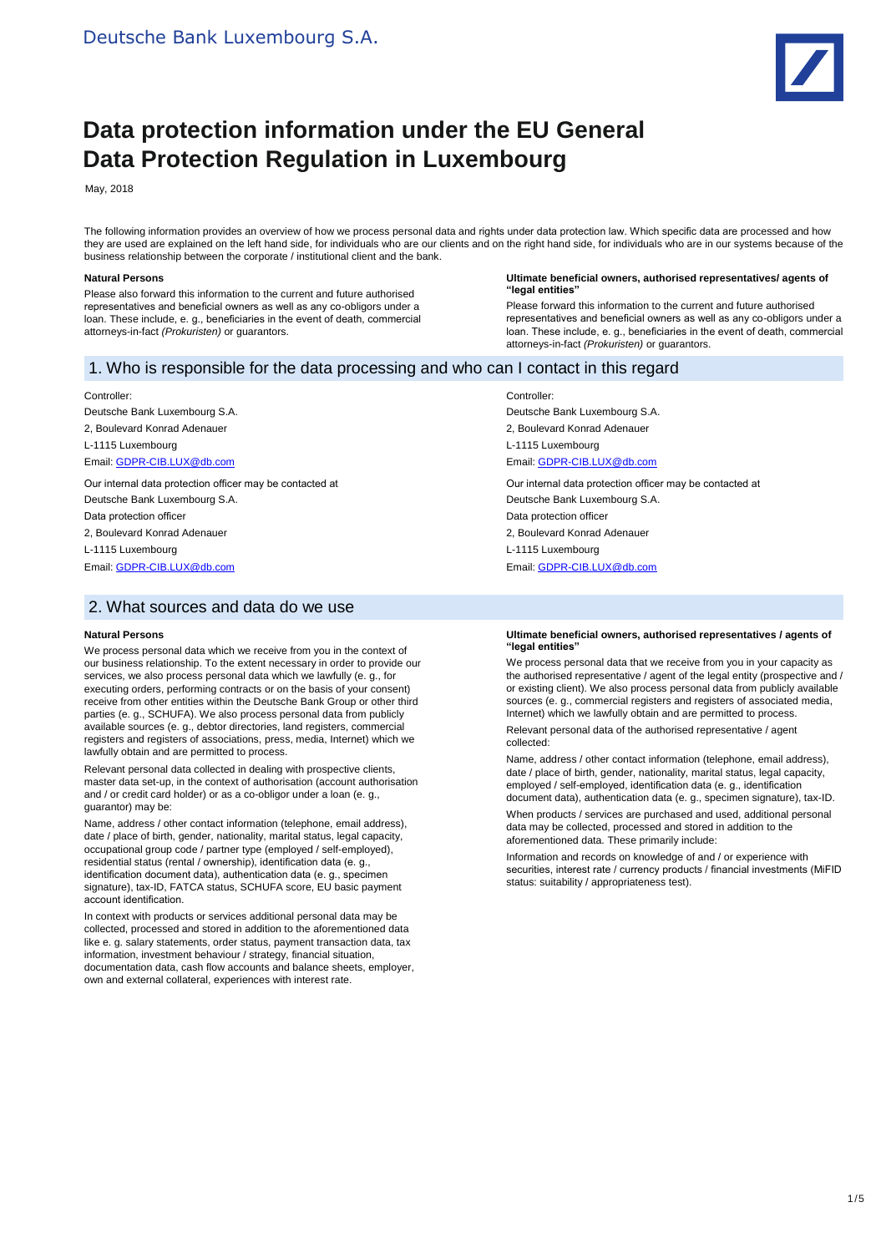

# **Data protection information under the EU General Data Protection Regulation in Luxembourg**

May, 2018

The following information provides an overview of how we process personal data and rights under data protection law. Which specific data are processed and how they are used are explained on the left hand side, for individuals who are our clients and on the right hand side, for individuals who are in our systems because of the business relationship between the corporate / institutional client and the bank.

#### **Natural Persons**

Please also forward this information to the current and future authorised representatives and beneficial owners as well as any co-obligors under a loan. These include, e. g., beneficiaries in the event of death, commercial attorneys-in-fact *(Prokuristen)* or guarantors.

#### **Ultimate beneficial owners, authorised representatives/ agents of "legal entities"**

Please forward this information to the current and future authorised representatives and beneficial owners as well as any co-obligors under a loan. These include, e. g., beneficiaries in the event of death, commercial attorneys-in-fact *(Prokuristen)* or guarantors.

### 1. Who is responsible for the data processing and who can I contact in this regard

#### Controller:

Deutsche Bank Luxembourg S.A.

2, Boulevard Konrad Adenauer

L-1115 Luxembourg

# Email[: GDPR-CIB.LUX@db.com](mailto:GDPR-CIB.LUX@db.com)

Our internal data protection officer may be contacted at Deutsche Bank Luxembourg S.A. Data protection officer

2, Boulevard Konrad Adenauer

L-1115 Luxembourg Email[: GDPR-CIB.LUX@db.com](mailto:GDPR-CIB.LUX@db.com)

### 2. What sources and data do we use

#### **Natural Persons**

We process personal data which we receive from you in the context of our business relationship. To the extent necessary in order to provide our services, we also process personal data which we lawfully (e. g., for executing orders, performing contracts or on the basis of your consent) receive from other entities within the Deutsche Bank Group or other third parties (e. g., SCHUFA). We also process personal data from publicly available sources (e. g., debtor directories, land registers, commercial registers and registers of associations, press, media, Internet) which we lawfully obtain and are permitted to process.

Relevant personal data collected in dealing with prospective clients, master data set-up, in the context of authorisation (account authorisation and / or credit card holder) or as a co-obligor under a loan (e. g., guarantor) may be:

Name, address / other contact information (telephone, email address), date / place of birth, gender, nationality, marital status, legal capacity, occupational group code / partner type (employed / self-employed), residential status (rental / ownership), identification data (e. g. identification document data), authentication data (e. g., specimen signature), tax-ID, FATCA status, SCHUFA score, EU basic payment account identification.

In context with products or services additional personal data may be collected, processed and stored in addition to the aforementioned data like e. g. salary statements, order status, payment transaction data, tax information, investment behaviour / strategy, financial situation, documentation data, cash flow accounts and balance sheets, employer, own and external collateral, experiences with interest rate.

Controller:

Deutsche Bank Luxembourg S.A. 2, Boulevard Konrad Adenauer L-1115 Luxembourg Email[: GDPR-CIB.LUX@db.com](mailto:GDPR-CIB.LUX@db.com)

Our internal data protection officer may be contacted at Deutsche Bank Luxembourg S.A. Data protection officer 2, Boulevard Konrad Adenauer L-1115 Luxembourg

Email[: GDPR-CIB.LUX@db.com](mailto:GDPR-CIB.LUX@db.com)

#### **Ultimate beneficial owners, authorised representatives / agents of "legal entities"**

We process personal data that we receive from you in your capacity as the authorised representative / agent of the legal entity (prospective and / or existing client). We also process personal data from publicly available sources (e. g., commercial registers and registers of associated media, Internet) which we lawfully obtain and are permitted to process.

Relevant personal data of the authorised representative / agent collected:

Name, address / other contact information (telephone, email address), date / place of birth, gender, nationality, marital status, legal capacity, employed / self-employed, identification data (e. g., identification document data), authentication data (e. g., specimen signature), tax-ID.

When products / services are purchased and used, additional personal data may be collected, processed and stored in addition to the aforementioned data. These primarily include:

Information and records on knowledge of and / or experience with securities, interest rate / currency products / financial investments (MiFID status: suitability / appropriateness test).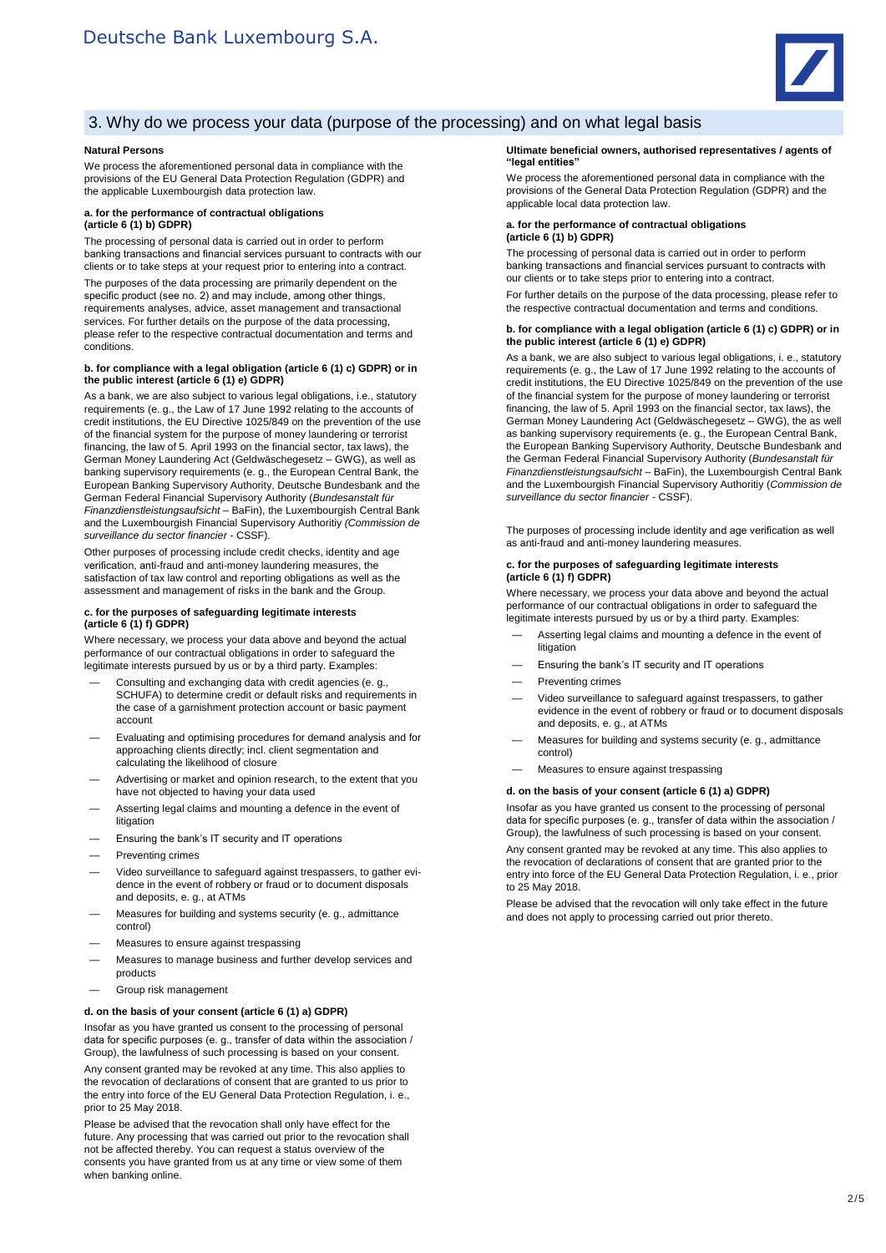

# 3. Why do we process your data (purpose of the processing) and on what legal basis

#### **Natural Persons**

We process the aforementioned personal data in compliance with the provisions of the EU General Data Protection Regulation (GDPR) and the applicable Luxembourgish data protection law.

#### **a. for the performance of contractual obligations (article 6 (1) b) GDPR)**

The processing of personal data is carried out in order to perform banking transactions and financial services pursuant to contracts with our clients or to take steps at your request prior to entering into a contract.

The purposes of the data processing are primarily dependent on the specific product (see no. 2) and may include, among other things, requirements analyses, advice, asset management and transactional services. For further details on the purpose of the data processing, please refer to the respective contractual documentation and terms and conditions.

#### **b. for compliance with a legal obligation (article 6 (1) c) GDPR) or in the public interest (article 6 (1) e) GDPR)**

As a bank, we are also subject to various legal obligations, i.e., statutory requirements (e. g., the Law of 17 June 1992 relating to the accounts of credit institutions, the EU Directive 1025/849 on the prevention of the use of the financial system for the purpose of money laundering or terrorist financing, the law of 5. April 1993 on the financial sector, tax laws), the German Money Laundering Act (Geldwäschegesetz – GWG), as well as banking supervisory requirements (e. g., the European Central Bank, the European Banking Supervisory Authority, Deutsche Bundesbank and the German Federal Financial Supervisory Authority (*Bundesanstalt für Finanzdienstleistungsaufsicht* – BaFin), the Luxembourgish Central Bank and the Luxembourgish Financial Supervisory Authoritiy *(Commission de surveillance du sector financier* - CSSF).

Other purposes of processing include credit checks, identity and age verification, anti-fraud and anti-money laundering measures, the satisfaction of tax law control and reporting obligations as well as the assessment and management of risks in the bank and the Group.

#### **c. for the purposes of safeguarding legitimate interests (article 6 (1) f) GDPR)**

Where necessary, we process your data above and beyond the actual performance of our contractual obligations in order to safeguard the legitimate interests pursued by us or by a third party. Examples:

- Consulting and exchanging data with credit agencies (e. g., SCHUFA) to determine credit or default risks and requirements in the case of a garnishment protection account or basic payment account
- Evaluating and optimising procedures for demand analysis and for approaching clients directly; incl. client segmentation and calculating the likelihood of closure
- Advertising or market and opinion research, to the extent that you have not objected to having your data used
- Asserting legal claims and mounting a defence in the event of litigation
- Ensuring the bank's IT security and IT operations
- Preventing crimes
- Video surveillance to safeguard against trespassers, to gather evidence in the event of robbery or fraud or to document disposals and deposits, e. g., at ATMs
- Measures for building and systems security (e. g., admittance control)
- Measures to ensure against trespassing
- Measures to manage business and further develop services and products
- Group risk management

#### **d. on the basis of your consent (article 6 (1) a) GDPR)**

Insofar as you have granted us consent to the processing of personal data for specific purposes (e. g., transfer of data within the association / Group), the lawfulness of such processing is based on your consent.

Any consent granted may be revoked at any time. This also applies to the revocation of declarations of consent that are granted to us prior to the entry into force of the EU General Data Protection Regulation, i. e., prior to 25 May 2018.

Please be advised that the revocation shall only have effect for the future. Any processing that was carried out prior to the revocation shall not be affected thereby. You can request a status overview of the consents you have granted from us at any time or view some of them when banking online.

#### **Ultimate beneficial owners, authorised representatives / agents of "legal entities"**

We process the aforementioned personal data in compliance with the provisions of the General Data Protection Regulation (GDPR) and the applicable local data protection law.

#### **a. for the performance of contractual obligations (article 6 (1) b) GDPR)**

The processing of personal data is carried out in order to perform banking transactions and financial services pursuant to contracts with our clients or to take steps prior to entering into a contract.

For further details on the purpose of the data processing, please refer to the respective contractual documentation and terms and conditions.

#### **b. for compliance with a legal obligation (article 6 (1) c) GDPR) or in the public interest (article 6 (1) e) GDPR)**

As a bank, we are also subject to various legal obligations, i. e., statutory requirements (e. g., the Law of 17 June 1992 relating to the accounts of credit institutions, the EU Directive 1025/849 on the prevention of the use of the financial system for the purpose of money laundering or terrorist financing, the law of 5. April 1993 on the financial sector, tax laws), the German Money Laundering Act (Geldwäschegesetz – GWG), the as well as banking supervisory requirements (e. g., the European Central Bank, the European Banking Supervisory Authority, Deutsche Bundesbank and the German Federal Financial Supervisory Authority (*Bundesanstalt für Finanzdienstleistungsaufsicht* – BaFin), the Luxembourgish Central Bank and the Luxembourgish Financial Supervisory Authoritiy (*Commission de surveillance du sector financier* - CSSF).

The purposes of processing include identity and age verification as well as anti-fraud and anti-money laundering measures.

#### **c. for the purposes of safeguarding legitimate interests (article 6 (1) f) GDPR)**

Where necessary, we process your data above and beyond the actual performance of our contractual obligations in order to safeguard the legitimate interests pursued by us or by a third party. Examples:

- Asserting legal claims and mounting a defence in the event of litigation
- Ensuring the bank's IT security and IT operations
- Preventing crimes
- Video surveillance to safeguard against trespassers, to gather evidence in the event of robbery or fraud or to document disposals and deposits, e. g., at ATMs
- Measures for building and systems security (e. g., admittance control)
- Measures to ensure against trespassing

#### **d. on the basis of your consent (article 6 (1) a) GDPR)**

Insofar as you have granted us consent to the processing of personal data for specific purposes (e. g., transfer of data within the association / Group), the lawfulness of such processing is based on your consent.

Any consent granted may be revoked at any time. This also applies to the revocation of declarations of consent that are granted prior to the entry into force of the EU General Data Protection Regulation, i. e., prior to 25 May 2018.

Please be advised that the revocation will only take effect in the future and does not apply to processing carried out prior thereto.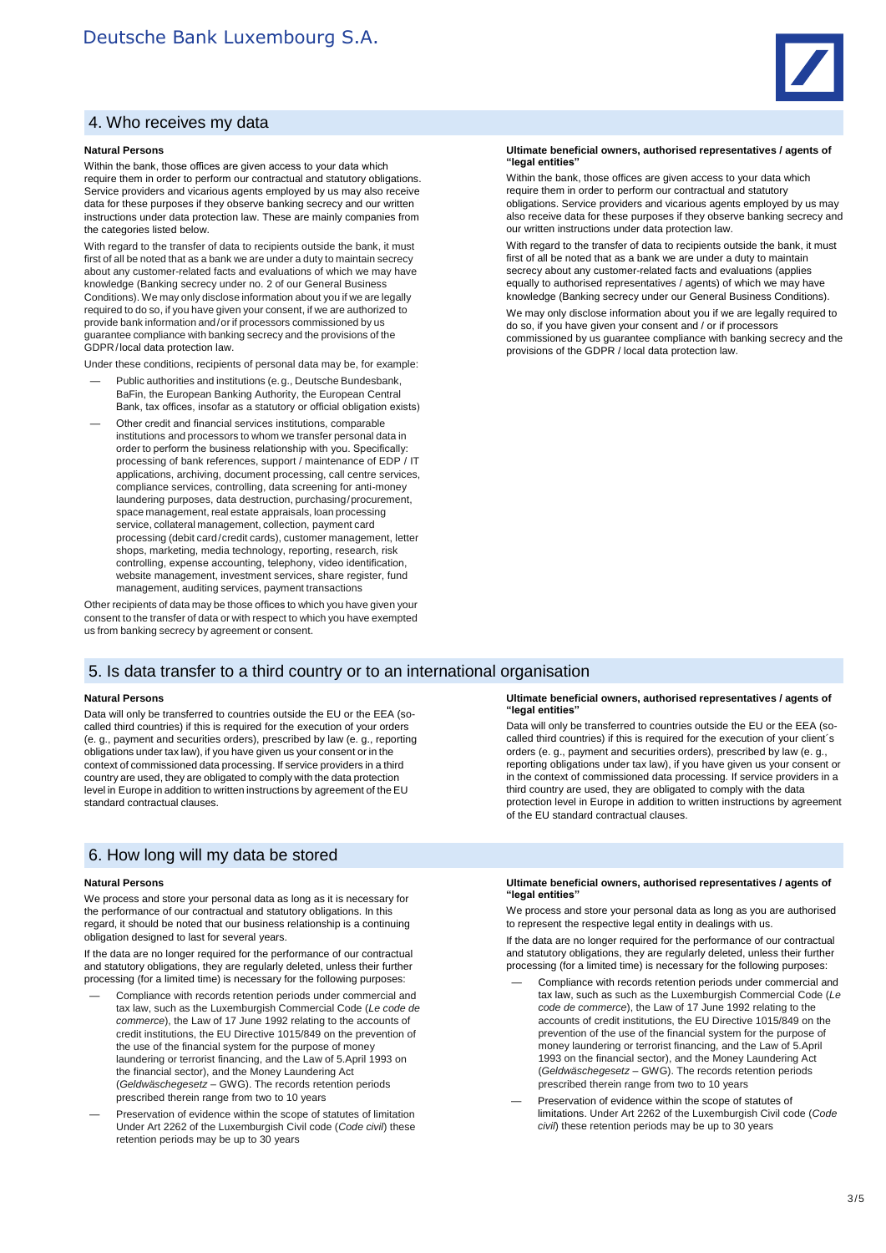

# 4. Who receives my data

#### **Natural Persons**

Within the bank, those offices are given access to your data which require them in order to perform our contractual and statutory obligations. Service providers and vicarious agents employed by us may also receive data for these purposes if they observe banking secrecy and our written instructions under data protection law. These are mainly companies from the categories listed below.

With regard to the transfer of data to recipients outside the bank, it must first of all be noted that as a bank we are under a duty to maintain secrecy about any customer-related facts and evaluations of which we may have knowledge (Banking secrecy under no. 2 of our General Business Conditions). We may only disclose information about you if we are legally required to do so, if you have given your consent, if we are authorized to provide bank information and/or if processors commissioned by us guarantee compliance with banking secrecy and the provisions of the GDPR/local data protection law.

Under these conditions, recipients of personal data may be, for example:

- Public authorities and institutions (e.g., Deutsche Bundesbank, BaFin, the European Banking Authority, the European Central Bank, tax offices, insofar as a statutory or official obligation exists)
- Other credit and financial services institutions, comparable institutions and processors to whom we transfer personal data in order to perform the business relationship with you. Specifically: processing of bank references, support / maintenance of EDP / IT applications, archiving, document processing, call centre services, compliance services, controlling, data screening for anti-money laundering purposes, data destruction, purchasing/procurement, space management, real estate appraisals, loan processing service, collateral management, collection, payment card processing (debit card/credit cards), customer management, letter shops, marketing, media technology, reporting, research, risk controlling, expense accounting, telephony, video identification, website management, investment services, share register, fund management, auditing services, payment transactions

Other recipients of data may be those offices to which you have given your consent to the transfer of data or with respect to which you have exempted us from banking secrecy by agreement or consent.

### 5. Is data transfer to a third country or to an international organisation

#### **Natural Persons**

Data will only be transferred to countries outside the EU or the EEA (socalled third countries) if this is required for the execution of your orders (e. g., payment and securities orders), prescribed by law (e. g., reporting obligations under tax law), if you have given us your consent or in the context of commissioned data processing. If service providers in a third country are used, they are obligated to comply with the data protection level in Europe in addition to written instructions by agreement of the EU standard contractual clauses.

# 6. How long will my data be stored

#### **Natural Persons**

We process and store your personal data as long as it is necessary for the performance of our contractual and statutory obligations. In this regard, it should be noted that our business relationship is a continuing obligation designed to last for several years.

If the data are no longer required for the performance of our contractual and statutory obligations, they are regularly deleted, unless their further processing (for a limited time) is necessary for the following purposes:

- Compliance with records retention periods under commercial and tax law, such as the Luxemburgish Commercial Code (*Le code de commerce*), the Law of 17 June 1992 relating to the accounts of credit institutions, the EU Directive 1015/849 on the prevention of the use of the financial system for the purpose of money laundering or terrorist financing, and the Law of 5.April 1993 on the financial sector), and the Money Laundering Act (*Geldwäschegesetz* – GWG). The records retention periods prescribed therein range from two to 10 years
- Preservation of evidence within the scope of statutes of limitation Under Art 2262 of the Luxemburgish Civil code (*Code civil*) these retention periods may be up to 30 years

#### **Ultimate beneficial owners, authorised representatives / agents of "legal entities"**

Within the bank, those offices are given access to your data which require them in order to perform our contractual and statutory obligations. Service providers and vicarious agents employed by us may also receive data for these purposes if they observe banking secrecy and our written instructions under data protection law.

With regard to the transfer of data to recipients outside the bank, it must first of all be noted that as a bank we are under a duty to maintain secrecy about any customer-related facts and evaluations (applies equally to authorised representatives / agents) of which we may have knowledge (Banking secrecy under our General Business Conditions).

We may only disclose information about you if we are legally required to do so, if you have given your consent and / or if processors commissioned by us guarantee compliance with banking secrecy and the provisions of the GDPR / local data protection law.

#### **Ultimate beneficial owners, authorised representatives / agents of "legal entities"**

Data will only be transferred to countries outside the EU or the EEA (socalled third countries) if this is required for the execution of your client´s orders (e. g., payment and securities orders), prescribed by law (e. g., reporting obligations under tax law), if you have given us your consent or in the context of commissioned data processing. If service providers in a third country are used, they are obligated to comply with the data protection level in Europe in addition to written instructions by agreement of the EU standard contractual clauses.

#### **Ultimate beneficial owners, authorised representatives / agents of "legal entities"**

We process and store your personal data as long as you are authorised to represent the respective legal entity in dealings with us.

If the data are no longer required for the performance of our contractual and statutory obligations, they are regularly deleted, unless their further processing (for a limited time) is necessary for the following purposes:

- Compliance with records retention periods under commercial and tax law, such as such as the Luxemburgish Commercial Code (*Le code de commerce*), the Law of 17 June 1992 relating to the accounts of credit institutions, the EU Directive 1015/849 on the prevention of the use of the financial system for the purpose of money laundering or terrorist financing, and the Law of 5.April 1993 on the financial sector), and the Money Laundering Act (*Geldwäschegesetz* – GWG). The records retention periods prescribed therein range from two to 10 years
- Preservation of evidence within the scope of statutes of limitations. Under Art 2262 of the Luxemburgish Civil code (*Code civil*) these retention periods may be up to 30 years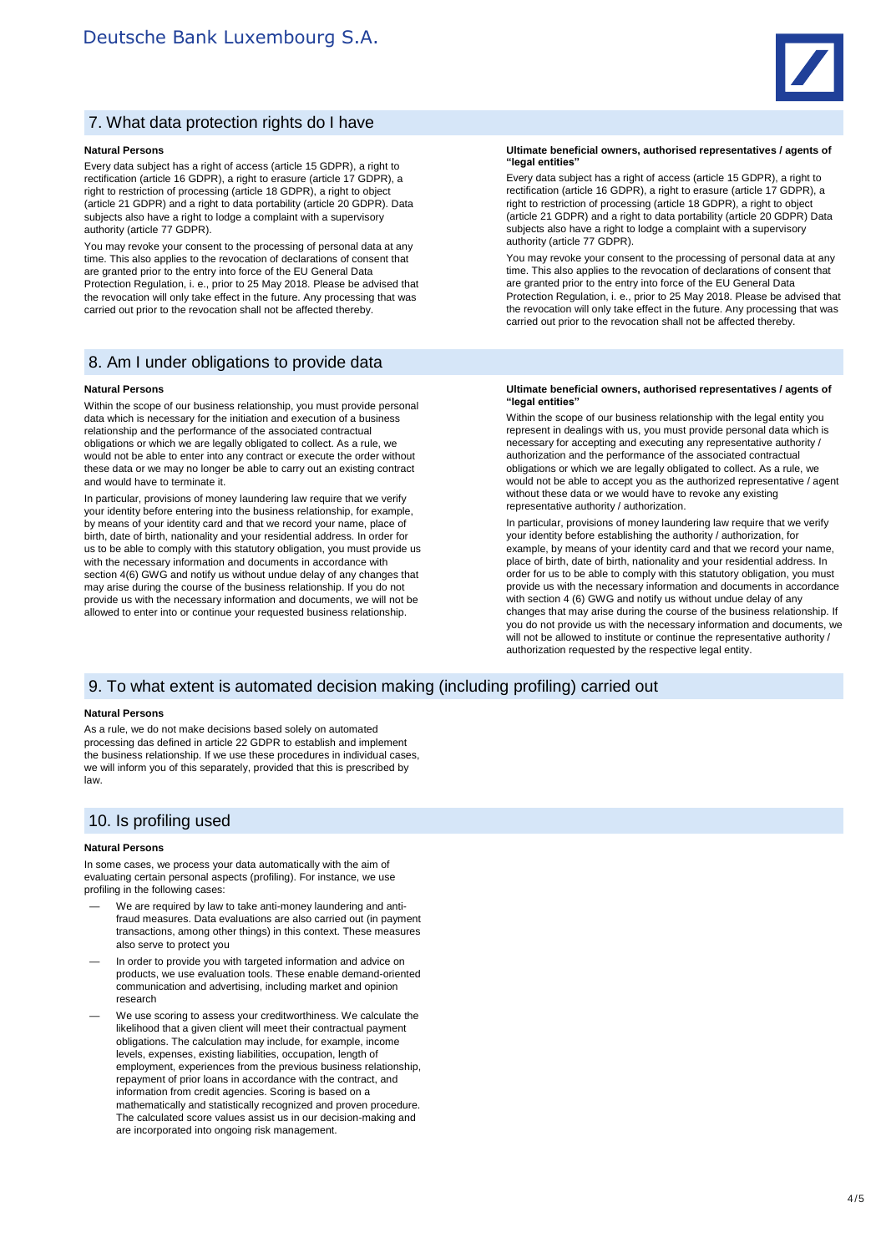

# 7. What data protection rights do I have

#### **Natural Persons**

Every data subject has a right of access (article 15 GDPR), a right to rectification (article 16 GDPR), a right to erasure (article 17 GDPR), a right to restriction of processing (article 18 GDPR), a right to object (article 21 GDPR) and a right to data portability (article 20 GDPR). Data subjects also have a right to lodge a complaint with a supervisory authority (article 77 GDPR).

You may revoke your consent to the processing of personal data at any time. This also applies to the revocation of declarations of consent that are granted prior to the entry into force of the EU General Data Protection Regulation, i. e., prior to 25 May 2018. Please be advised that the revocation will only take effect in the future. Any processing that was carried out prior to the revocation shall not be affected thereby.

### 8. Am I under obligations to provide data

#### **Natural Persons**

Within the scope of our business relationship, you must provide personal data which is necessary for the initiation and execution of a business relationship and the performance of the associated contractual obligations or which we are legally obligated to collect. As a rule, we would not be able to enter into any contract or execute the order without these data or we may no longer be able to carry out an existing contract and would have to terminate it.

In particular, provisions of money laundering law require that we verify your identity before entering into the business relationship, for example, by means of your identity card and that we record your name, place of birth, date of birth, nationality and your residential address. In order for us to be able to comply with this statutory obligation, you must provide us with the necessary information and documents in accordance with section 4(6) GWG and notify us without undue delay of any changes that may arise during the course of the business relationship. If you do not provide us with the necessary information and documents, we will not be allowed to enter into or continue your requested business relationship.

**Ultimate beneficial owners, authorised representatives / agents of "legal entities"**

Every data subject has a right of access (article 15 GDPR), a right to rectification (article 16 GDPR), a right to erasure (article 17 GDPR), a right to restriction of processing (article 18 GDPR), a right to object (article 21 GDPR) and a right to data portability (article 20 GDPR) Data subjects also have a right to lodge a complaint with a supervisory authority (article 77 GDPR).

You may revoke your consent to the processing of personal data at any time. This also applies to the revocation of declarations of consent that are granted prior to the entry into force of the EU General Data Protection Regulation, i. e., prior to 25 May 2018. Please be advised that the revocation will only take effect in the future. Any processing that was carried out prior to the revocation shall not be affected thereby.

#### **Ultimate beneficial owners, authorised representatives / agents of "legal entities"**

Within the scope of our business relationship with the legal entity you represent in dealings with us, you must provide personal data which is necessary for accepting and executing any representative authority / authorization and the performance of the associated contractual obligations or which we are legally obligated to collect. As a rule, we would not be able to accept you as the authorized representative / agent without these data or we would have to revoke any existing representative authority / authorization.

In particular, provisions of money laundering law require that we verify your identity before establishing the authority / authorization, for example, by means of your identity card and that we record your name, place of birth, date of birth, nationality and your residential address. In order for us to be able to comply with this statutory obligation, you must provide us with the necessary information and documents in accordance with section 4 (6) GWG and notify us without undue delay of any changes that may arise during the course of the business relationship. If you do not provide us with the necessary information and documents, we will not be allowed to institute or continue the representative authority / authorization requested by the respective legal entity.

### 9. To what extent is automated decision making (including profiling) carried out

#### **Natural Persons**

As a rule, we do not make decisions based solely on automated processing das defined in article 22 GDPR to establish and implement the business relationship. If we use these procedures in individual cases, we will inform you of this separately, provided that this is prescribed by law.

## 10. Is profiling used

#### **Natural Persons**

In some cases, we process your data automatically with the aim of evaluating certain personal aspects (profiling). For instance, we use profiling in the following cases:

- We are required by law to take anti-money laundering and antifraud measures. Data evaluations are also carried out (in payment transactions, among other things) in this context. These measures also serve to protect you
- In order to provide you with targeted information and advice on products, we use evaluation tools. These enable demand-oriented communication and advertising, including market and opinion research
- We use scoring to assess your creditworthiness. We calculate the likelihood that a given client will meet their contractual payment obligations. The calculation may include, for example, income levels, expenses, existing liabilities, occupation, length of employment, experiences from the previous business relationship, repayment of prior loans in accordance with the contract, and information from credit agencies. Scoring is based on a mathematically and statistically recognized and proven procedure. The calculated score values assist us in our decision-making and are incorporated into ongoing risk management.